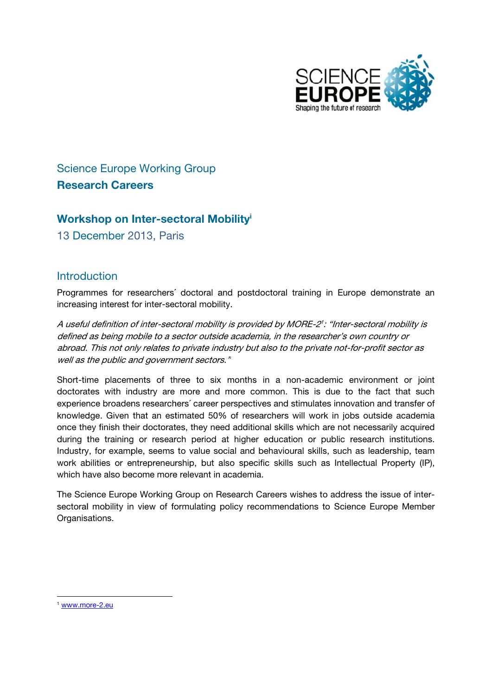

# **Science Europe Working Group Research Careers**

### Workshop on Inter-sectoral Mobility<sup>i</sup>

13 December 2013, Paris

### **Introduction**

Programmes for researchers' doctoral and postdoctoral training in Europe demonstrate an increasing interest for inter-sectoral mobility.

A useful definition of inter-sectoral mobility is provided by MORE-2': "Inter-sectoral mobility is defined as being mobile to a sector outside academia, in the researcher's own country or abroad. This not only relates to private industry but also to the private not-for-profit sector as well as the public and government sectors."

Short-time placements of three to six months in a non-academic environment or joint doctorates with industry are more and more common. This is due to the fact that such experience broadens researchers' career perspectives and stimulates innovation and transfer of knowledge. Given that an estimated 50% of researchers will work in jobs outside academia once they finish their doctorates, they need additional skills which are not necessarily acquired during the training or research period at higher education or public research institutions. Industry, for example, seems to value social and behavioural skills, such as leadership, team work abilities or entrepreneurship, but also specific skills such as Intellectual Property (IP), which have also become more relevant in academia.

The Science Europe Working Group on Research Careers wishes to address the issue of intersectoral mobility in view of formulating policy recommendations to Science Europe Member Organisations.

<sup>&</sup>lt;sup>1</sup> www.more-2.eu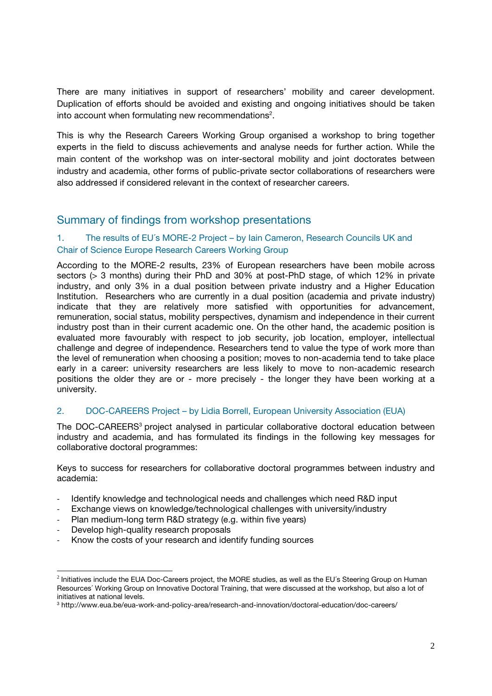There are many initiatives in support of researchers' mobility and career development. Duplication of efforts should be avoided and existing and ongoing initiatives should be taken into account when formulating new recommendations<sup>2</sup>.

This is why the Research Careers Working Group organised a workshop to bring together experts in the field to discuss achievements and analyse needs for further action. While the main content of the workshop was on inter-sectoral mobility and joint doctorates between industry and academia, other forms of public-private sector collaborations of researchers were also addressed if considered relevant in the context of researcher careers.

### Summary of findings from workshop presentations

#### 1. The results of EU´s MORE-2 Project – by Iain Cameron, Research Councils UK and Chair of Science Europe Research Careers Working Group

According to the MORE-2 results, 23% of European researchers have been mobile across sectors (> 3 months) during their PhD and 30% at post-PhD stage, of which 12% in private industry, and only 3% in a dual position between private industry and a Higher Education Institution. Researchers who are currently in a dual position (academia and private industry) indicate that they are relatively more satisfied with opportunities for advancement, remuneration, social status, mobility perspectives, dynamism and independence in their current industry post than in their current academic one. On the other hand, the academic position is evaluated more favourably with respect to job security, job location, employer, intellectual challenge and degree of independence. Researchers tend to value the type of work more than the level of remuneration when choosing a position; moves to non-academia tend to take place early in a career: university researchers are less likely to move to non-academic research positions the older they are or - more precisely - the longer they have been working at a university.

#### 2. DOC-CAREERS Project – by Lidia Borrell, European University Association (EUA)

The DOC-CAREERS<sup>3</sup> project analysed in particular collaborative doctoral education between industry and academia, and has formulated its findings in the following key messages for collaborative doctoral programmes:

Keys to success for researchers for collaborative doctoral programmes between industry and academia:

- ‐ Identify knowledge and technological needs and challenges which need R&D input
- Exchange views on knowledge/technological challenges with university/industry
- Plan medium-long term R&D strategy (e.g. within five years)
- ‐ Develop high-quality research proposals
- Know the costs of your research and identify funding sources

  $2$  Initiatives include the EUA Doc-Careers project, the MORE studies, as well as the EU's Steering Group on Human Resources´ Working Group on Innovative Doctoral Training, that were discussed at the workshop, but also a lot of initiatives at national levels.

<sup>3</sup> http://www.eua.be/eua-work-and-policy-area/research-and-innovation/doctoral-education/doc-careers/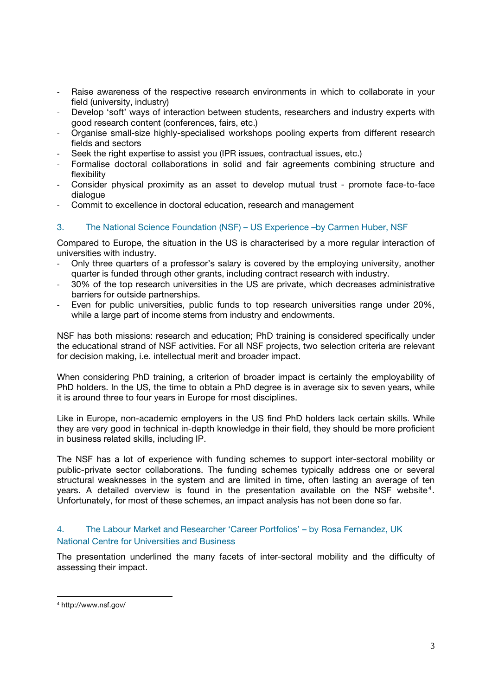- Raise awareness of the respective research environments in which to collaborate in your field (university, industry)
- ‐ Develop 'soft' ways of interaction between students, researchers and industry experts with good research content (conferences, fairs, etc.)
- ‐ Organise small-size highly-specialised workshops pooling experts from different research fields and sectors
- Seek the right expertise to assist you (IPR issues, contractual issues, etc.)
- ‐ Formalise doctoral collaborations in solid and fair agreements combining structure and flexibility
- ‐ Consider physical proximity as an asset to develop mutual trust promote face-to-face dialogue
- ‐ Commit to excellence in doctoral education, research and management

#### 3. The National Science Foundation (NSF) – US Experience –by Carmen Huber, NSF

Compared to Europe, the situation in the US is characterised by a more regular interaction of universities with industry.

- ‐ Only three quarters of a professor's salary is covered by the employing university, another quarter is funded through other grants, including contract research with industry.
- ‐ 30% of the top research universities in the US are private, which decreases administrative barriers for outside partnerships.
- ‐ Even for public universities, public funds to top research universities range under 20%, while a large part of income stems from industry and endowments.

NSF has both missions: research and education; PhD training is considered specifically under the educational strand of NSF activities. For all NSF projects, two selection criteria are relevant for decision making, i.e. intellectual merit and broader impact.

When considering PhD training, a criterion of broader impact is certainly the employability of PhD holders. In the US, the time to obtain a PhD degree is in average six to seven years, while it is around three to four years in Europe for most disciplines.

Like in Europe, non-academic employers in the US find PhD holders lack certain skills. While they are very good in technical in-depth knowledge in their field, they should be more proficient in business related skills, including IP.

The NSF has a lot of experience with funding schemes to support inter-sectoral mobility or public-private sector collaborations. The funding schemes typically address one or several structural weaknesses in the system and are limited in time, often lasting an average of ten years. A detailed overview is found in the presentation available on the NSF website<sup>4</sup>. Unfortunately, for most of these schemes, an impact analysis has not been done so far.

#### 4. The Labour Market and Researcher 'Career Portfolios' – by Rosa Fernandez, UK National Centre for Universities and Business

The presentation underlined the many facets of inter-sectoral mobility and the difficulty of assessing their impact.

<sup>4</sup> http://www.nsf.gov/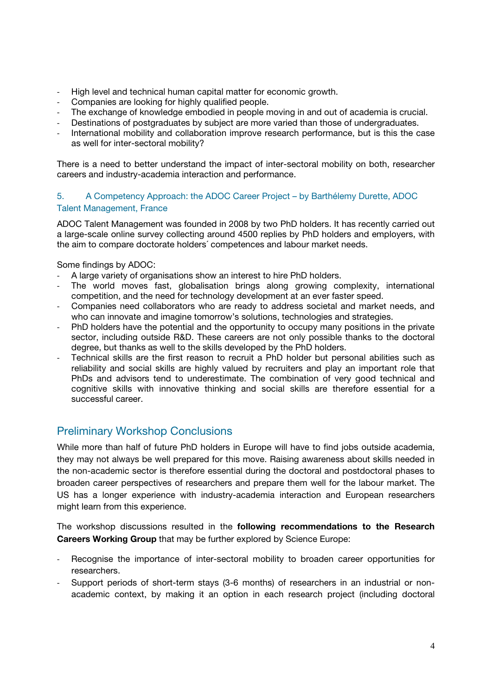- High level and technical human capital matter for economic growth.
- ‐ Companies are looking for highly qualified people.
- The exchange of knowledge embodied in people moving in and out of academia is crucial.
- Destinations of postgraduates by subject are more varied than those of undergraduates.
- International mobility and collaboration improve research performance, but is this the case as well for inter-sectoral mobility?

There is a need to better understand the impact of inter-sectoral mobility on both, researcher careers and industry-academia interaction and performance.

#### 5. A Competency Approach: the ADOC Career Project – by Barthélemy Durette, ADOC Talent Management, France

ADOC Talent Management was founded in 2008 by two PhD holders. It has recently carried out a large-scale online survey collecting around 4500 replies by PhD holders and employers, with the aim to compare doctorate holders´ competences and labour market needs.

Some findings by ADOC:

- ‐ A large variety of organisations show an interest to hire PhD holders.
- The world moves fast, globalisation brings along growing complexity, international competition, and the need for technology development at an ever faster speed.
- ‐ Companies need collaborators who are ready to address societal and market needs, and who can innovate and imagine tomorrow's solutions, technologies and strategies.
- PhD holders have the potential and the opportunity to occupy many positions in the private sector, including outside R&D. These careers are not only possible thanks to the doctoral degree, but thanks as well to the skills developed by the PhD holders.
- ‐ Technical skills are the first reason to recruit a PhD holder but personal abilities such as reliability and social skills are highly valued by recruiters and play an important role that PhDs and advisors tend to underestimate. The combination of very good technical and cognitive skills with innovative thinking and social skills are therefore essential for a successful career.

## Preliminary Workshop Conclusions

While more than half of future PhD holders in Europe will have to find jobs outside academia, they may not always be well prepared for this move. Raising awareness about skills needed in the non-academic sector is therefore essential during the doctoral and postdoctoral phases to broaden career perspectives of researchers and prepare them well for the labour market. The US has a longer experience with industry-academia interaction and European researchers might learn from this experience.

The workshop discussions resulted in the following recommendations to the Research Careers Working Group that may be further explored by Science Europe:

- Recognise the importance of inter-sectoral mobility to broaden career opportunities for researchers.
- Support periods of short-term stays (3-6 months) of researchers in an industrial or nonacademic context, by making it an option in each research project (including doctoral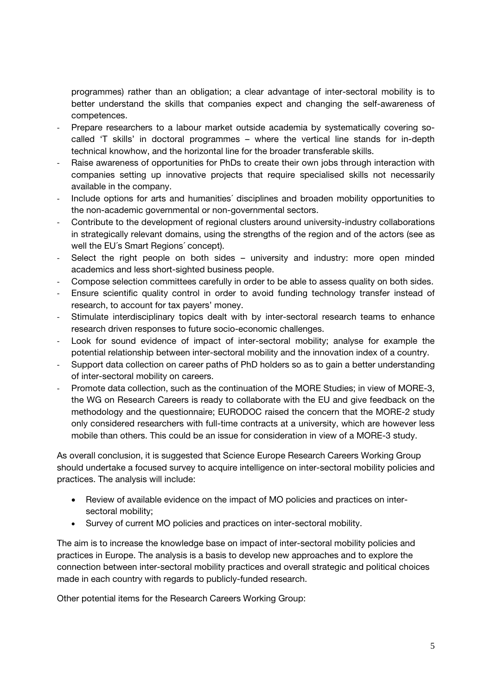programmes) rather than an obligation; a clear advantage of inter-sectoral mobility is to better understand the skills that companies expect and changing the self-awareness of competences.

- Prepare researchers to a labour market outside academia by systematically covering socalled 'T skills' in doctoral programmes – where the vertical line stands for in-depth technical knowhow, and the horizontal line for the broader transferable skills.
- Raise awareness of opportunities for PhDs to create their own jobs through interaction with companies setting up innovative projects that require specialised skills not necessarily available in the company.
- ‐ Include options for arts and humanities´ disciplines and broaden mobility opportunities to the non-academic governmental or non-governmental sectors.
- ‐ Contribute to the development of regional clusters around university-industry collaborations in strategically relevant domains, using the strengths of the region and of the actors (see as well the EU´s Smart Regions´ concept).
- Select the right people on both sides university and industry: more open minded academics and less short-sighted business people.
- ‐ Compose selection committees carefully in order to be able to assess quality on both sides.
- ‐ Ensure scientific quality control in order to avoid funding technology transfer instead of research, to account for tax payers' money.
- Stimulate interdisciplinary topics dealt with by inter-sectoral research teams to enhance research driven responses to future socio-economic challenges.
- ‐ Look for sound evidence of impact of inter-sectoral mobility; analyse for example the potential relationship between inter-sectoral mobility and the innovation index of a country.
- ‐ Support data collection on career paths of PhD holders so as to gain a better understanding of inter-sectoral mobility on careers.
- ‐ Promote data collection, such as the continuation of the MORE Studies; in view of MORE-3, the WG on Research Careers is ready to collaborate with the EU and give feedback on the methodology and the questionnaire; EURODOC raised the concern that the MORE-2 study only considered researchers with full-time contracts at a university, which are however less mobile than others. This could be an issue for consideration in view of a MORE-3 study.

As overall conclusion, it is suggested that Science Europe Research Careers Working Group should undertake a focused survey to acquire intelligence on inter-sectoral mobility policies and practices. The analysis will include:

- Review of available evidence on the impact of MO policies and practices on intersectoral mobility;
- Survey of current MO policies and practices on inter-sectoral mobility.

The aim is to increase the knowledge base on impact of inter-sectoral mobility policies and practices in Europe. The analysis is a basis to develop new approaches and to explore the connection between inter-sectoral mobility practices and overall strategic and political choices made in each country with regards to publicly-funded research.

Other potential items for the Research Careers Working Group: